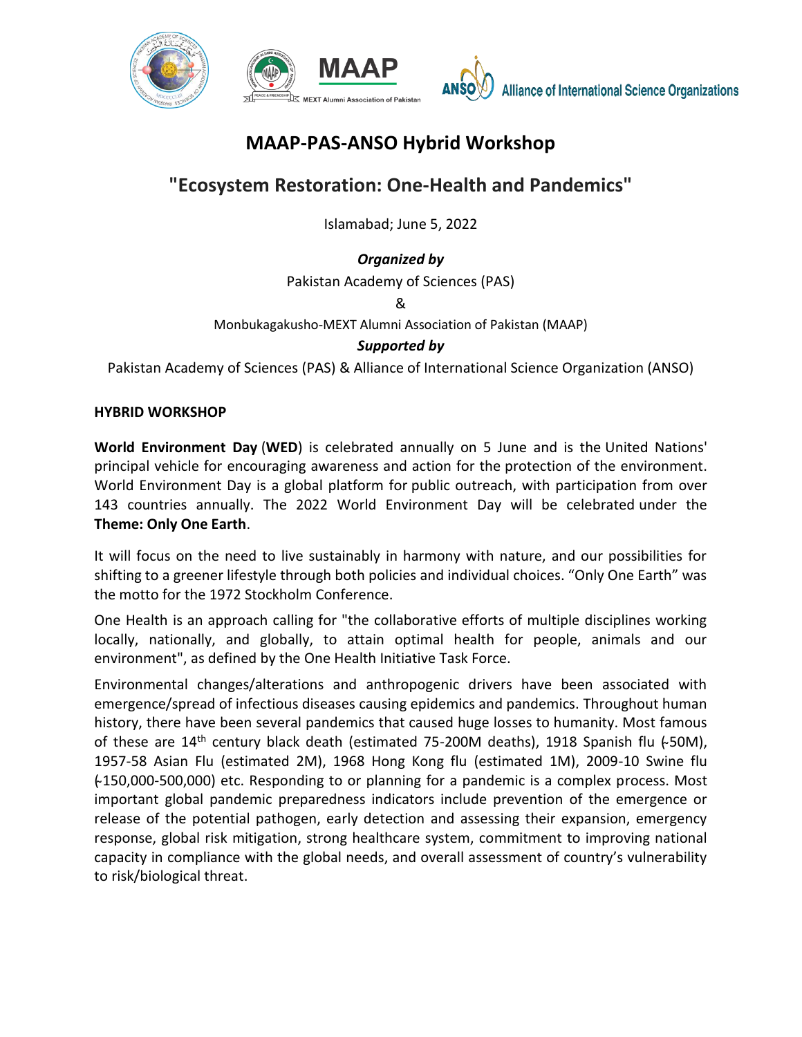

# **MAAP-PAS-ANSO Hybrid Workshop**

# **"Ecosystem Restoration: One-Health and Pandemics"**

Islamabad; June 5, 2022

## *Organized by*

Pakistan Academy of Sciences (PAS)

&

Monbukagakusho-MEXT Alumni Association of Pakistan (MAAP)

## *Supported by*

Pakistan Academy of Sciences (PAS) & Alliance of International Science Organization (ANSO)

#### **HYBRID WORKSHOP**

**World Environment Day** (**WED**) is celebrated annually on 5 June and is the [United Nations'](https://en.wikipedia.org/wiki/United_Nations) principal vehicle for encouraging awareness and action for the [protection of the environment.](https://en.wikipedia.org/wiki/Environmental_protection) World Environment Day is a global platform for [public outreach,](https://en.wikipedia.org/wiki/Public_outreach) with participation from over 143 countries annually. The 2022 World Environment Day will be celebrated under the **Theme: Only One Earth**.

It will focus on the need to live sustainably in harmony with nature, and our possibilities for shifting to a greener lifestyle through both policies and individual choices. "Only One Earth" was the motto for the 1972 Stockholm Conference.

One Health is an approach calling for "the collaborative efforts of multiple disciplines working locally, nationally, and globally, to attain optimal health for people, animals and our environment", as defined by the One Health Initiative Task Force.

Environmental changes/alterations and anthropogenic drivers have been associated with emergence/spread of infectious diseases causing epidemics and pandemics. Throughout human history, there have been several pandemics that caused huge losses to humanity. Most famous of these are  $14<sup>th</sup>$  century black death (estimated 75-200M deaths), 1918 Spanish flu (~50M), 1957-58 Asian Flu (estimated 2M), 1968 Hong Kong flu (estimated 1M), 2009-10 Swine flu  $+150,000-500,000$ ) etc. Responding to or planning for a pandemic is a complex process. Most important global pandemic preparedness indicators include prevention of the emergence or release of the potential pathogen, early detection and assessing their expansion, emergency response, global risk mitigation, strong healthcare system, commitment to improving national capacity in compliance with the global needs, and overall assessment of country's vulnerability to risk/biological threat.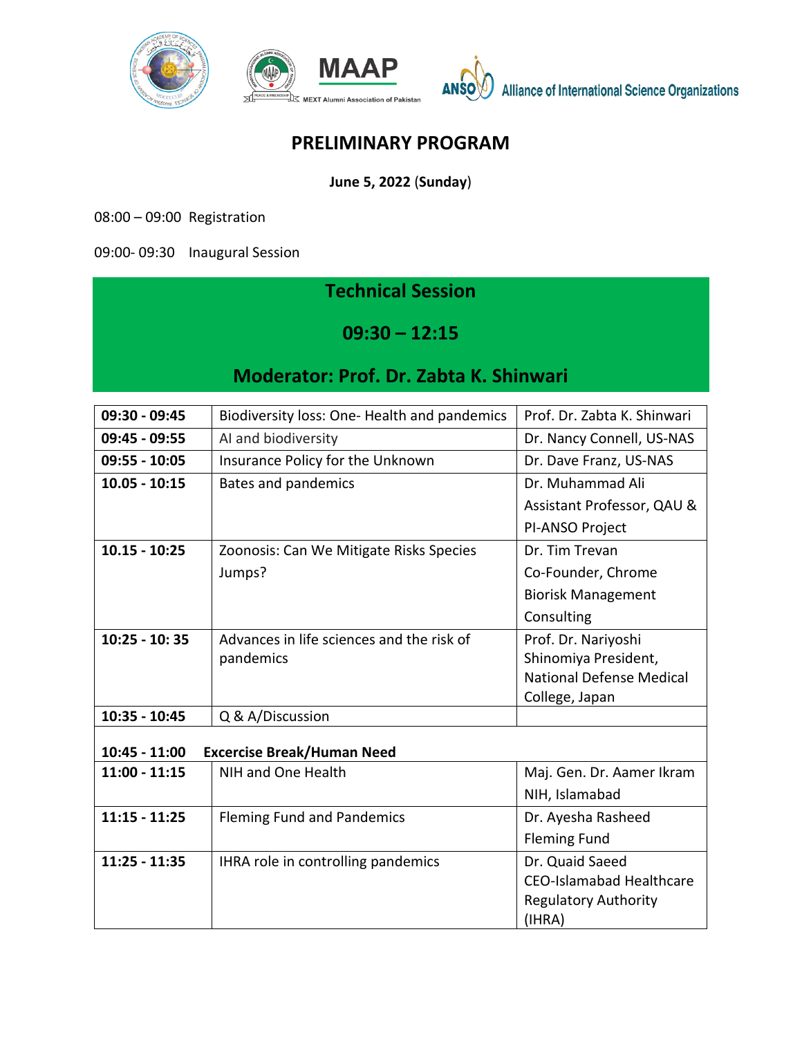

Alliance of International Science Organizations

## **PRELIMINARY PROGRAM**

**June 5, 2022** (**Sunday**)

08:00 – 09:00 Registration

09:00- 09:30 Inaugural Session

## **Technical Session**

**09:30 – 12:15**

## **Moderator: Prof. Dr. Zabta K. Shinwari**

| 09:30 - 09:45                                      | Biodiversity loss: One- Health and pandemics | Prof. Dr. Zabta K. Shinwari     |  |
|----------------------------------------------------|----------------------------------------------|---------------------------------|--|
| 09:45 - 09:55                                      | AI and biodiversity                          | Dr. Nancy Connell, US-NAS       |  |
| $09:55 - 10:05$                                    | Insurance Policy for the Unknown             | Dr. Dave Franz, US-NAS          |  |
| $10.05 - 10:15$                                    | <b>Bates and pandemics</b>                   | Dr. Muhammad Ali                |  |
|                                                    |                                              | Assistant Professor, QAU &      |  |
|                                                    |                                              | PI-ANSO Project                 |  |
| $10.15 - 10:25$                                    | Zoonosis: Can We Mitigate Risks Species      | Dr. Tim Trevan                  |  |
|                                                    | Jumps?                                       | Co-Founder, Chrome              |  |
|                                                    |                                              | <b>Biorisk Management</b>       |  |
|                                                    |                                              | Consulting                      |  |
| $10:25 - 10:35$                                    | Advances in life sciences and the risk of    | Prof. Dr. Nariyoshi             |  |
|                                                    | pandemics                                    | Shinomiya President,            |  |
|                                                    |                                              | <b>National Defense Medical</b> |  |
|                                                    |                                              | College, Japan                  |  |
| 10:35 - 10:45                                      | Q & A/Discussion                             |                                 |  |
| 10:45 - 11:00<br><b>Excercise Break/Human Need</b> |                                              |                                 |  |
|                                                    |                                              |                                 |  |
| $11:00 - 11:15$                                    | NIH and One Health                           | Maj. Gen. Dr. Aamer Ikram       |  |
|                                                    |                                              | NIH, Islamabad                  |  |
| $11:15 - 11:25$                                    | <b>Fleming Fund and Pandemics</b>            | Dr. Ayesha Rasheed              |  |
|                                                    |                                              | <b>Fleming Fund</b>             |  |
| $11:25 - 11:35$                                    | IHRA role in controlling pandemics           | Dr. Quaid Saeed                 |  |
|                                                    |                                              | <b>CEO-Islamabad Healthcare</b> |  |
|                                                    |                                              | <b>Regulatory Authority</b>     |  |
|                                                    |                                              | (IHRA)                          |  |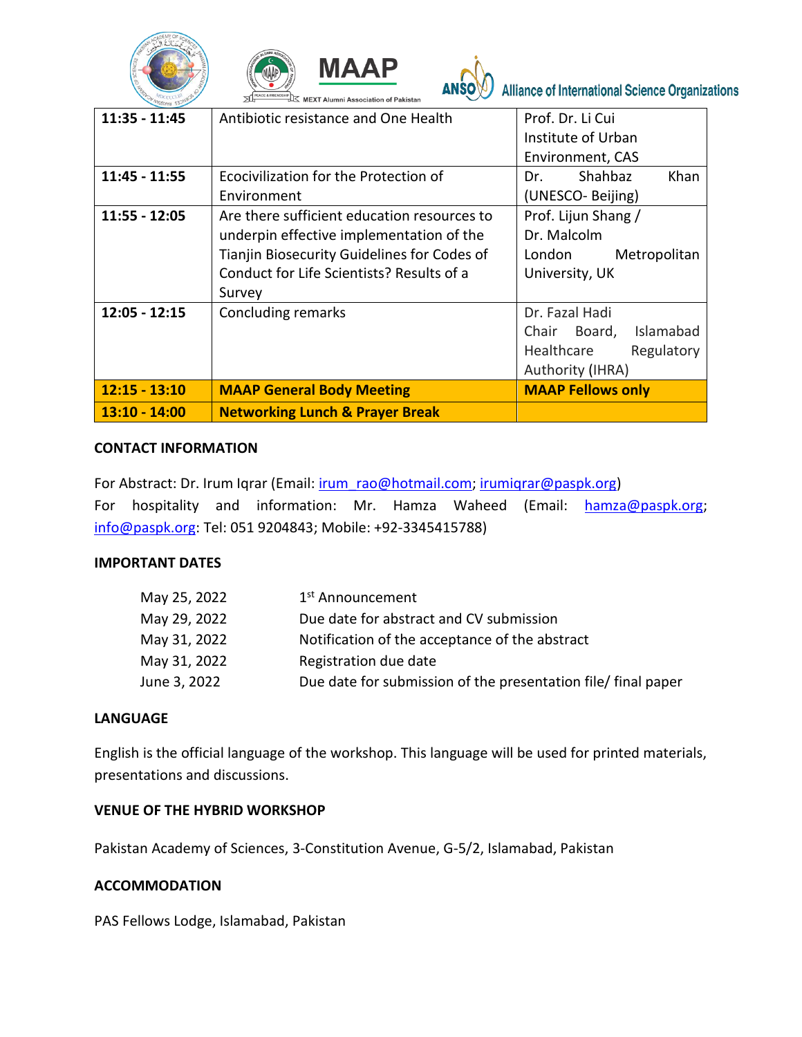





| $11:35 - 11:45$ | Antibiotic resistance and One Health                                                                                                                                                          | Prof. Dr. Li Cui<br>Institute of Urban<br>Environment, CAS                                  |
|-----------------|-----------------------------------------------------------------------------------------------------------------------------------------------------------------------------------------------|---------------------------------------------------------------------------------------------|
| $11:45 - 11:55$ | Ecocivilization for the Protection of<br>Environment                                                                                                                                          | Shahbaz<br>Khan<br>Dr.<br>(UNESCO-Beijing)                                                  |
| $11:55 - 12:05$ | Are there sufficient education resources to<br>underpin effective implementation of the<br>Tianjin Biosecurity Guidelines for Codes of<br>Conduct for Life Scientists? Results of a<br>Survey | Prof. Lijun Shang /<br>Dr. Malcolm<br>London<br>Metropolitan<br>University, UK              |
| $12:05 - 12:15$ | Concluding remarks                                                                                                                                                                            | Dr. Fazal Hadi<br>Islamabad<br>Chair Board,<br>Healthcare<br>Regulatory<br>Authority (IHRA) |
| $12:15 - 13:10$ | <b>MAAP General Body Meeting</b>                                                                                                                                                              | <b>MAAP Fellows only</b>                                                                    |
| $13:10 - 14:00$ | <b>Networking Lunch &amp; Prayer Break</b>                                                                                                                                                    |                                                                                             |

#### **CONTACT INFORMATION**

For Abstract: Dr. Irum Iqrar (Email: [irum\\_rao@hotmail.com;](mailto:irum_rao@hotmail.com) [irumiqrar@paspk.org\)](mailto:irumiqrar@paspk.org) For hospitality and information: Mr. Hamza Waheed (Email: [hamza@paspk.org;](mailto:hamza@paspk.org) [info@paspk.org:](mailto:info@paspk.org) Tel: 051 9204843; Mobile: +92-3345415788)

#### **IMPORTANT DATES**

| May 25, 2022 | 1 <sup>st</sup> Announcement                                  |
|--------------|---------------------------------------------------------------|
| May 29, 2022 | Due date for abstract and CV submission                       |
| May 31, 2022 | Notification of the acceptance of the abstract                |
| May 31, 2022 | Registration due date                                         |
| June 3, 2022 | Due date for submission of the presentation file/ final paper |

#### **LANGUAGE**

English is the official language of the workshop. This language will be used for printed materials, presentations and discussions.

#### **VENUE OF THE HYBRID WORKSHOP**

Pakistan Academy of Sciences, 3-Constitution Avenue, G-5/2, Islamabad, Pakistan

#### **ACCOMMODATION**

PAS Fellows Lodge, Islamabad, Pakistan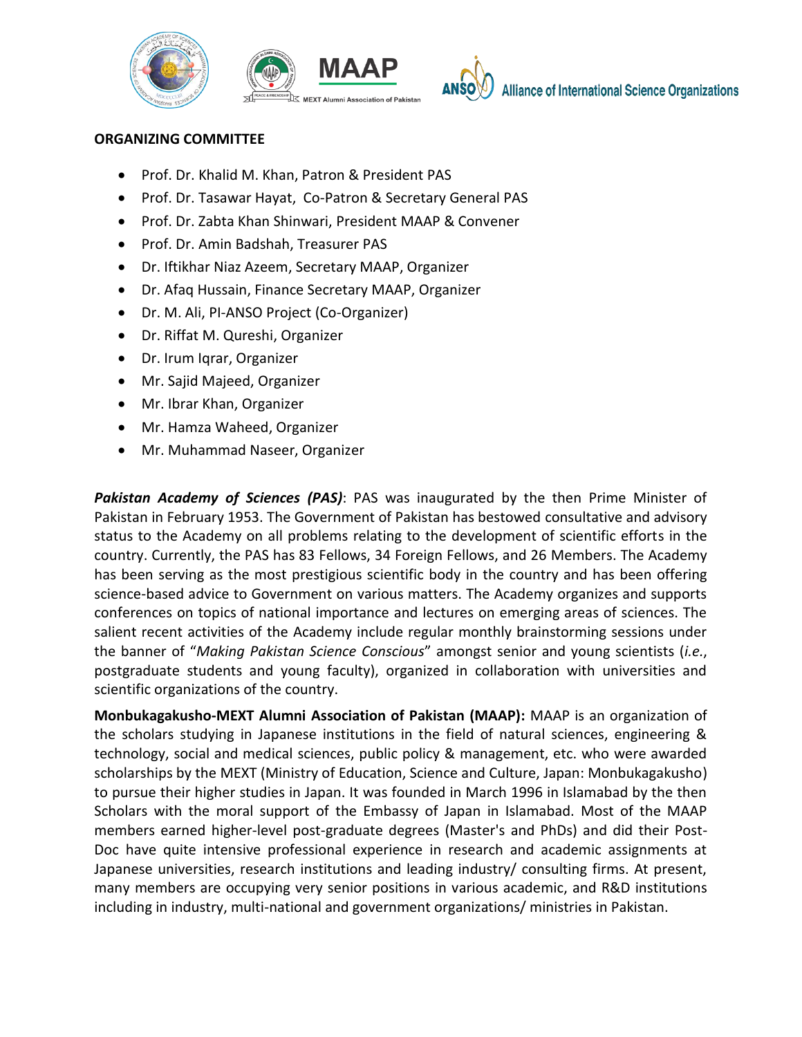





**Alliance of International Science Organizations** 

#### **ORGANIZING COMMITTEE**

- Prof. Dr. Khalid M. Khan, Patron & President PAS
- Prof. Dr. Tasawar Hayat, Co-Patron & Secretary General PAS
- Prof. Dr. Zabta Khan Shinwari, President MAAP & Convener
- Prof. Dr. Amin Badshah, Treasurer PAS
- Dr. Iftikhar Niaz Azeem, Secretary MAAP, Organizer
- Dr. Afaq Hussain, Finance Secretary MAAP, Organizer
- Dr. M. Ali, PI-ANSO Project (Co-Organizer)
- Dr. Riffat M. Qureshi, Organizer
- Dr. Irum Iqrar, Organizer
- Mr. Sajid Majeed, Organizer
- Mr. Ibrar Khan, Organizer
- Mr. Hamza Waheed, Organizer
- Mr. Muhammad Naseer, Organizer

*Pakistan Academy of Sciences (PAS)*: PAS was inaugurated by the then Prime Minister of Pakistan in February 1953. The Government of Pakistan has bestowed consultative and advisory status to the Academy on all problems relating to the development of scientific efforts in the country. Currently, the PAS has 83 Fellows, 34 Foreign Fellows, and 26 Members. The Academy has been serving as the most prestigious scientific body in the country and has been offering science-based advice to Government on various matters. The Academy organizes and supports conferences on topics of national importance and lectures on emerging areas of sciences. The salient recent activities of the Academy include regular monthly brainstorming sessions under the banner of "*Making Pakistan Science Conscious*" amongst senior and young scientists (*i.e.*, postgraduate students and young faculty), organized in collaboration with universities and scientific organizations of the country.

**Monbukagakusho-MEXT Alumni Association of Pakistan (MAAP):** MAAP is an organization of the scholars studying in Japanese institutions in the field of natural sciences, engineering & technology, social and medical sciences, public policy & management, etc. who were awarded scholarships by the MEXT (Ministry of Education, Science and Culture, Japan: Monbukagakusho) to pursue their higher studies in Japan. It was founded in March 1996 in Islamabad by the then Scholars with the moral support of the Embassy of Japan in Islamabad. Most of the MAAP members earned higher-level post-graduate degrees (Master's and PhDs) and did their Post-Doc have quite intensive professional experience in research and academic assignments at Japanese universities, research institutions and leading industry/ consulting firms. At present, many members are occupying very senior positions in various academic, and R&D institutions including in industry, multi-national and government organizations/ ministries in Pakistan.